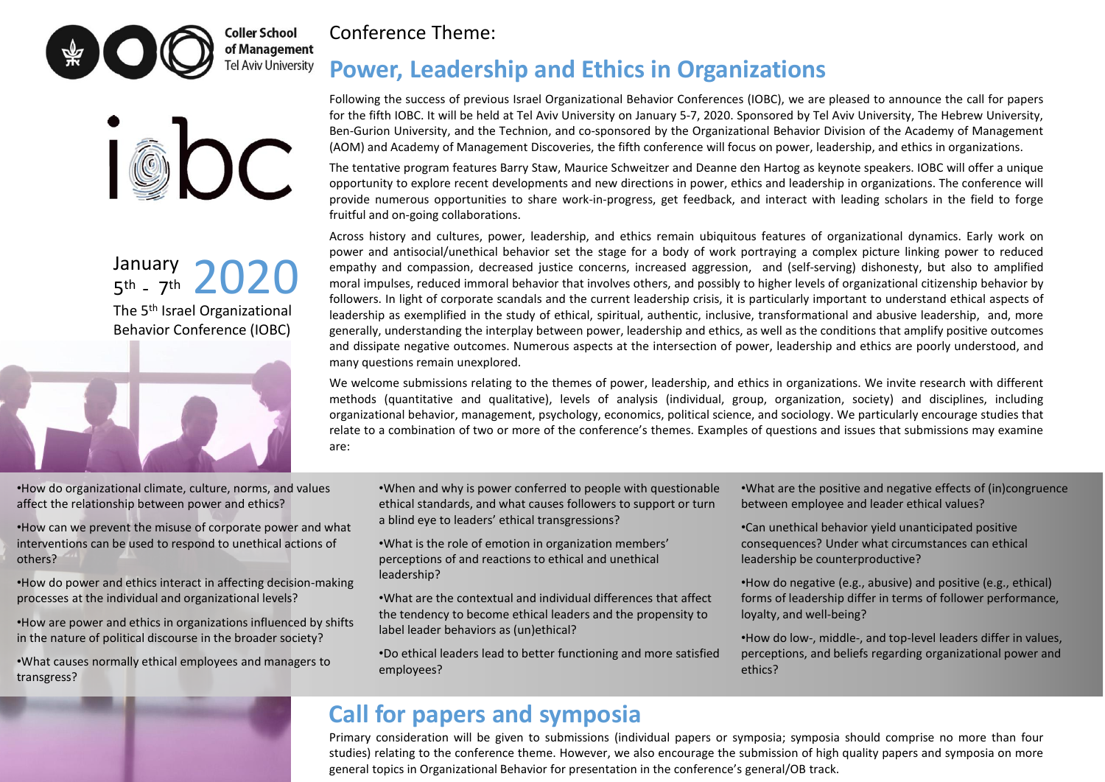



The 5 th Israel Organizational Behavior Conference (IOBC) January January 2020



### Conference Theme:

# **Power, Leadership and Ethics in Organizations**

Following the success of previous Israel Organizational Behavior Conferences (IOBC), we are pleased to announce the call for papers for the fifth IOBC. It will be held at Tel Aviv University on January 5-7, 2020. Sponsored by Tel Aviv University, The Hebrew University, Ben-Gurion University, and the Technion, and co-sponsored by the Organizational Behavior Division of the Academy of Management (AOM) and Academy of Management Discoveries, the fifth conference will focus on power, leadership, and ethics in organizations.

The tentative program features Barry Staw, Maurice Schweitzer and Deanne den Hartog as keynote speakers. IOBC will offer a unique opportunity to explore recent developments and new directions in power, ethics and leadership in organizations. The conference will provide numerous opportunities to share work-in-progress, get feedback, and interact with leading scholars in the field to forge fruitful and on-going collaborations.

Across history and cultures, power, leadership, and ethics remain ubiquitous features of organizational dynamics. Early work on power and antisocial/unethical behavior set the stage for a body of work portraying a complex picture linking power to reduced empathy and compassion, decreased justice concerns, increased aggression, and (self-serving) dishonesty, but also to amplified moral impulses, reduced immoral behavior that involves others, and possibly to higher levels of organizational citizenship behavior by followers. In light of corporate scandals and the current leadership crisis, it is particularly important to understand ethical aspects of leadership as exemplified in the study of ethical, spiritual, authentic, inclusive, transformational and abusive leadership, and, more generally, understanding the interplay between power, leadership and ethics, as well as the conditions that amplify positive outcomes and dissipate negative outcomes. Numerous aspects at the intersection of power, leadership and ethics are poorly understood, and many questions remain unexplored.

We welcome submissions relating to the themes of power, leadership, and ethics in organizations. We invite research with different methods (quantitative and qualitative), levels of analysis (individual, group, organization, society) and disciplines, including organizational behavior, management, psychology, economics, political science, and sociology. We particularly encourage studies that relate to a combination of two or more of the conference's themes. Examples of questions and issues that submissions may examine are:

- •How do organizational climate, culture, norms, and values affect the relationship between power and ethics?
- •How can we prevent the misuse of corporate power and what interventions can be used to respond to unethical actions of others?
- •How do power and ethics interact in affecting decision-making processes at the individual and organizational levels?
- •How are power and ethics in organizations influenced by shifts in the nature of political discourse in the broader society?
- •What causes normally ethical employees and managers to transgress?
- •When and why is power conferred to people with questionable ethical standards, and what causes followers to support or turn a blind eye to leaders' ethical transgressions?
- •What is the role of emotion in organization members' perceptions of and reactions to ethical and unethical leadership?
- •What are the contextual and individual differences that affect the tendency to become ethical leaders and the propensity to label leader behaviors as (un)ethical?
- •Do ethical leaders lead to better functioning and more satisfied employees?

•What are the positive and negative effects of (in)congruence between employee and leader ethical values?

- •Can unethical behavior yield unanticipated positive consequences? Under what circumstances can ethical leadership be counterproductive?
- •How do negative (e.g., abusive) and positive (e.g., ethical) forms of leadership differ in terms of follower performance, loyalty, and well-being?
- •How do low-, middle-, and top-level leaders differ in values, perceptions, and beliefs regarding organizational power and ethics?

# **Call for papers and symposia**

Primary consideration will be given to submissions (individual papers or symposia; symposia should comprise no more than four studies) relating to the conference theme. However, we also encourage the submission of high quality papers and symposia on more general topics in Organizational Behavior for presentation in the conference's general/OB track.